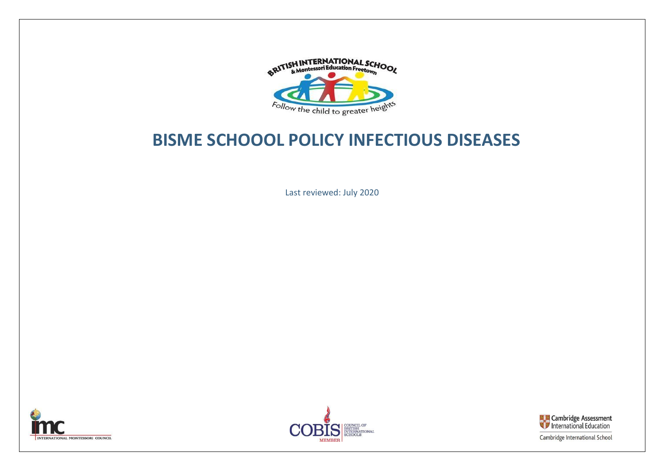

## **BISME SCHOOOL POLICY INFECTIOUS DISEASES**

Last reviewed: July 2020







Cambridge International School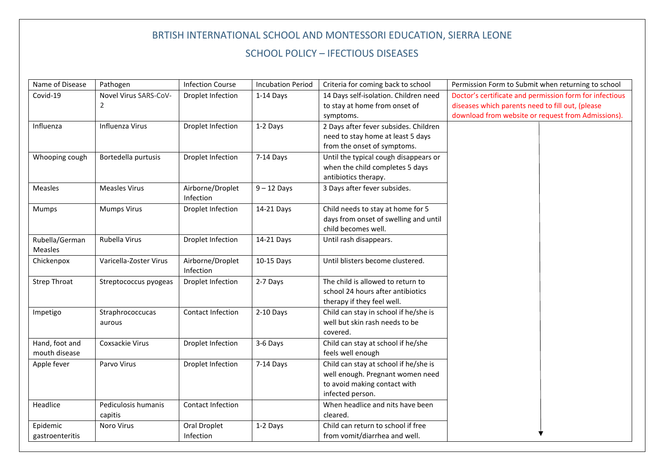## BRTISH INTERNATIONAL SCHOOL AND MONTESSORI EDUCATION, SIERRA LEONE SCHOOL POLICY – IFECTIOUS DISEASES

| Name of Disease                 | Pathogen                       | <b>Infection Course</b>       | <b>Incubation Period</b> | Criteria for coming back to school                                                                                            | Permission Form to Submit when returning to school                                                                                                                |
|---------------------------------|--------------------------------|-------------------------------|--------------------------|-------------------------------------------------------------------------------------------------------------------------------|-------------------------------------------------------------------------------------------------------------------------------------------------------------------|
| Covid-19                        | Novel Virus SARS-CoV-<br>2     | Droplet Infection             | 1-14 Days                | 14 Days self-isolation. Children need<br>to stay at home from onset of<br>symptoms.                                           | Doctor's certificate and permission form for infectious<br>diseases which parents need to fill out, (please<br>download from website or request from Admissions). |
| Influenza                       | Influenza Virus                | Droplet Infection             | 1-2 Days                 | 2 Days after fever subsides. Children<br>need to stay home at least 5 days<br>from the onset of symptoms.                     |                                                                                                                                                                   |
| Whooping cough                  | Bortedella purtusis            | Droplet Infection             | 7-14 Days                | Until the typical cough disappears or<br>when the child completes 5 days<br>antibiotics therapy.                              |                                                                                                                                                                   |
| <b>Measles</b>                  | <b>Measles Virus</b>           | Airborne/Droplet<br>Infection | $9 - 12$ Days            | 3 Days after fever subsides.                                                                                                  |                                                                                                                                                                   |
| Mumps                           | <b>Mumps Virus</b>             | Droplet Infection             | 14-21 Days               | Child needs to stay at home for 5<br>days from onset of swelling and until<br>child becomes well.                             |                                                                                                                                                                   |
| Rubella/German<br>Measles       | Rubella Virus                  | Droplet Infection             | 14-21 Days               | Until rash disappears.                                                                                                        |                                                                                                                                                                   |
| Chickenpox                      | Varicella-Zoster Virus         | Airborne/Droplet<br>Infection | 10-15 Days               | Until blisters become clustered.                                                                                              |                                                                                                                                                                   |
| <b>Strep Throat</b>             | Streptococcus pyogeas          | Droplet Infection             | 2-7 Days                 | The child is allowed to return to<br>school 24 hours after antibiotics<br>therapy if they feel well.                          |                                                                                                                                                                   |
| Impetigo                        | Straphrococcucas<br>aurous     | Contact Infection             | 2-10 Days                | Child can stay in school if he/she is<br>well but skin rash needs to be<br>covered.                                           |                                                                                                                                                                   |
| Hand, foot and<br>mouth disease | Coxsackie Virus                | Droplet Infection             | 3-6 Days                 | Child can stay at school if he/she<br>feels well enough                                                                       |                                                                                                                                                                   |
| Apple fever                     | Parvo Virus                    | Droplet Infection             | 7-14 Days                | Child can stay at school if he/she is<br>well enough. Pregnant women need<br>to avoid making contact with<br>infected person. |                                                                                                                                                                   |
| Headlice                        | Pediculosis humanis<br>capitis | Contact Infection             |                          | When headlice and nits have been<br>cleared.                                                                                  |                                                                                                                                                                   |
| Epidemic<br>gastroenteritis     | Noro Virus                     | Oral Droplet<br>Infection     | 1-2 Days                 | Child can return to school if free<br>from vomit/diarrhea and well.                                                           |                                                                                                                                                                   |